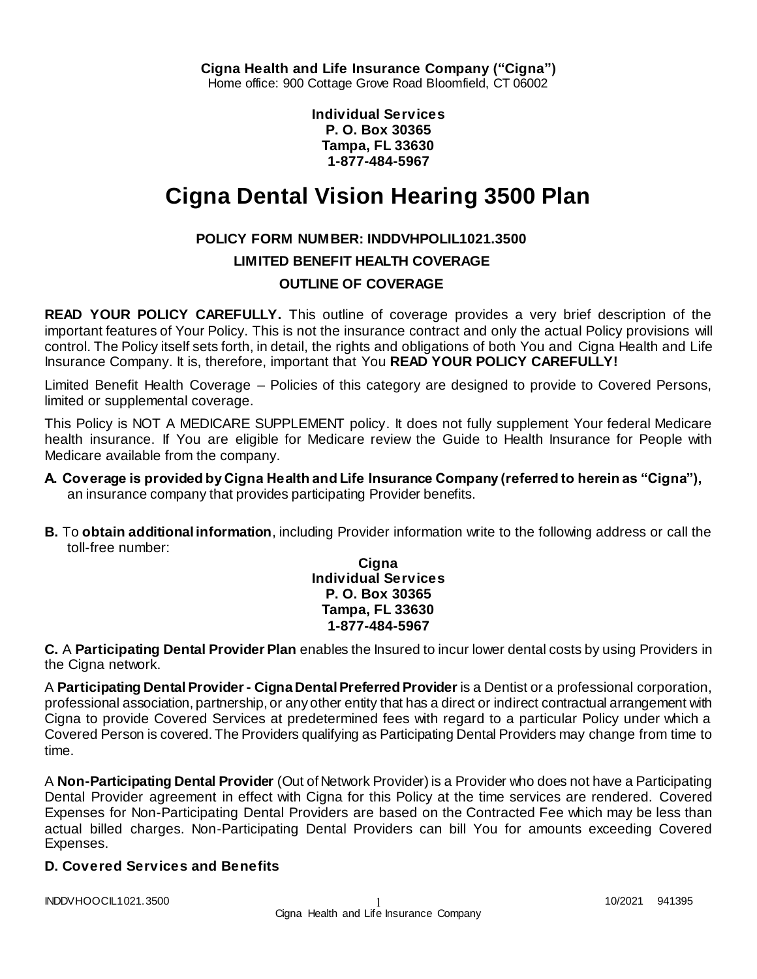**Cigna Health and Life Insurance Company ("Cigna")** Home office: 900 Cottage Grove Road Bloomfield, CT 06002

> **Individual Services P. O. Box 30365 Tampa, FL 33630 1-877-484-5967**

# **Cigna Dental Vision Hearing 3500 Plan**

## **POLICY FORM NUMBER: INDDVHPOLIL1021.3500**

**LIMITED BENEFIT HEALTH COVERAGE**

## **OUTLINE OF COVERAGE**

**READ YOUR POLICY CAREFULLY.** This outline of coverage provides a very brief description of the important features of Your Policy. This is not the insurance contract and only the actual Policy provisions will control. The Policy itself sets forth, in detail, the rights and obligations of both You and Cigna Health and Life Insurance Company. It is, therefore, important that You **READ YOUR POLICY CAREFULLY!** 

Limited Benefit Health Coverage – Policies of this category are designed to provide to Covered Persons, limited or supplemental coverage.

This Policy is NOT A MEDICARE SUPPLEMENT policy. It does not fully supplement Your federal Medicare health insurance. If You are eligible for Medicare review the Guide to Health Insurance for People with Medicare available from the company.

- **A. Coverage is provided by Cigna Health and Life Insurance Company (referred to herein as "Cigna"),**  an insurance company that provides participating Provider benefits.
- **B.** To **obtain additional information**, including Provider information write to the following address or call the toll-free number:

**Cigna Individual Services P. O. Box 30365 Tampa, FL 33630 1-877-484-5967**

**C.** A **Participating Dental Provider Plan** enables the Insured to incur lower dental costs by using Providers in the Cigna network.

A **Participating Dental Provider - Cigna Dental Preferred Provider** is a Dentist or a professional corporation, professional association, partnership, or any other entity that has a direct or indirect contractual arrangement with Cigna to provide Covered Services at predetermined fees with regard to a particular Policy under which a Covered Person is covered. The Providers qualifying as Participating Dental Providers may change from time to time.

A **Non-Participating Dental Provider** (Out of Network Provider) is a Provider who does not have a Participating Dental Provider agreement in effect with Cigna for this Policy at the time services are rendered. Covered Expenses for Non-Participating Dental Providers are based on the Contracted Fee which may be less than actual billed charges. Non-Participating Dental Providers can bill You for amounts exceeding Covered Expenses.

## **D. Covered Services and Benefits**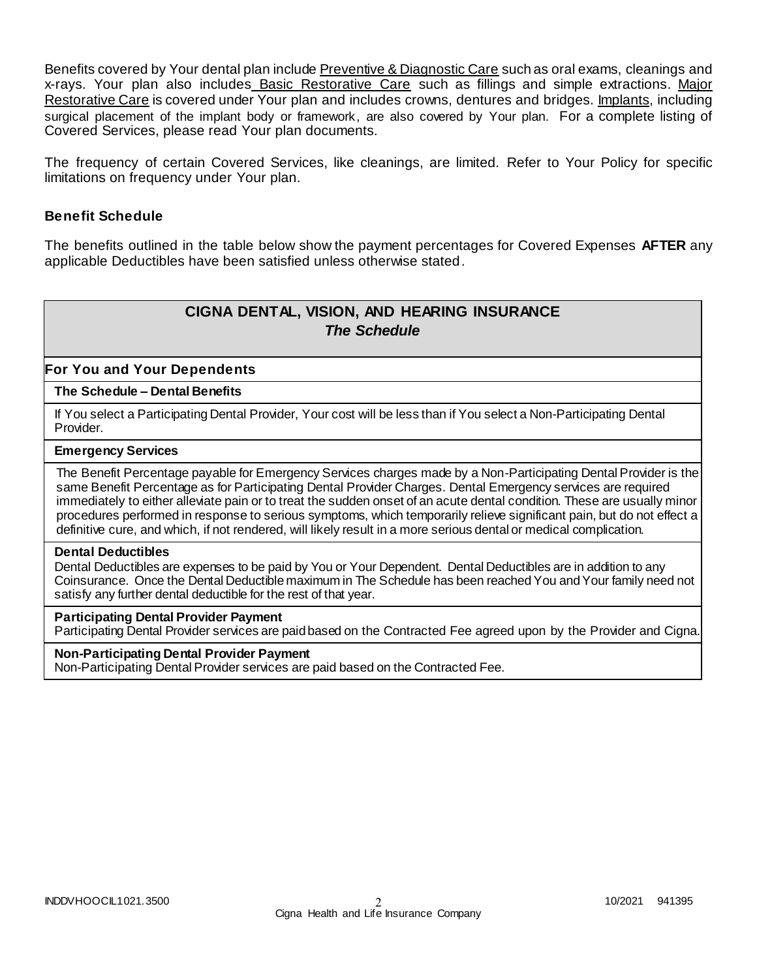Benefits covered by Your dental plan include Preventive & Diagnostic Care such as oral exams, cleanings and x-rays. Your plan also includes Basic Restorative Care such as fillings and simple extractions. Major Restorative Care is covered under Your plan and includes crowns, dentures and bridges. Implants, including surgical placement of the implant body or framework, are also covered by Your plan. For a complete listing of Covered Services, please read Your plan documents.

The frequency of certain Covered Services, like cleanings, are limited. Refer to Your Policy for specific limitations on frequency under Your plan.

#### **Benefit Schedule**

The benefits outlined in the table below show the payment percentages for Covered Expenses **AFTER** any applicable Deductibles have been satisfied unless otherwise stated.

# **CIGNA DENTAL, VISION, AND HEARING INSURANCE** *The Schedule*

#### **For You and Your Dependents**

#### **The Schedule – Dental Benefits**

If You select a Participating Dental Provider, Your cost will be less than if You select a Non-Participating Dental Provider.

#### **Emergency Services**

The Benefit Percentage payable for Emergency Services charges made by a Non-Participating Dental Provider is the same Benefit Percentage as for Participating Dental Provider Charges. Dental Emergency services are required immediately to either alleviate pain or to treat the sudden onset of an acute dental condition. These are usually minor procedures performed in response to serious symptoms, which temporarily relieve significant pain, but do not effect a definitive cure, and which, if not rendered, will likely result in a more serious dental or medical complication.

#### **Dental Deductibles**

Dental Deductibles are expenses to be paid by You or Your Dependent. Dental Deductibles are in addition to any Coinsurance. Once the Dental Deductible maximum in The Schedule has been reached You and Your family need not satisfy any further dental deductible for the rest of that year.

#### **Participating Dental Provider Payment**

Participating Dental Provider services are paid based on the Contracted Fee agreed upon by the Provider and Cigna.

#### **Non-Participating Dental Provider Payment**

Non-Participating Dental Provider services are paid based on the Contracted Fee.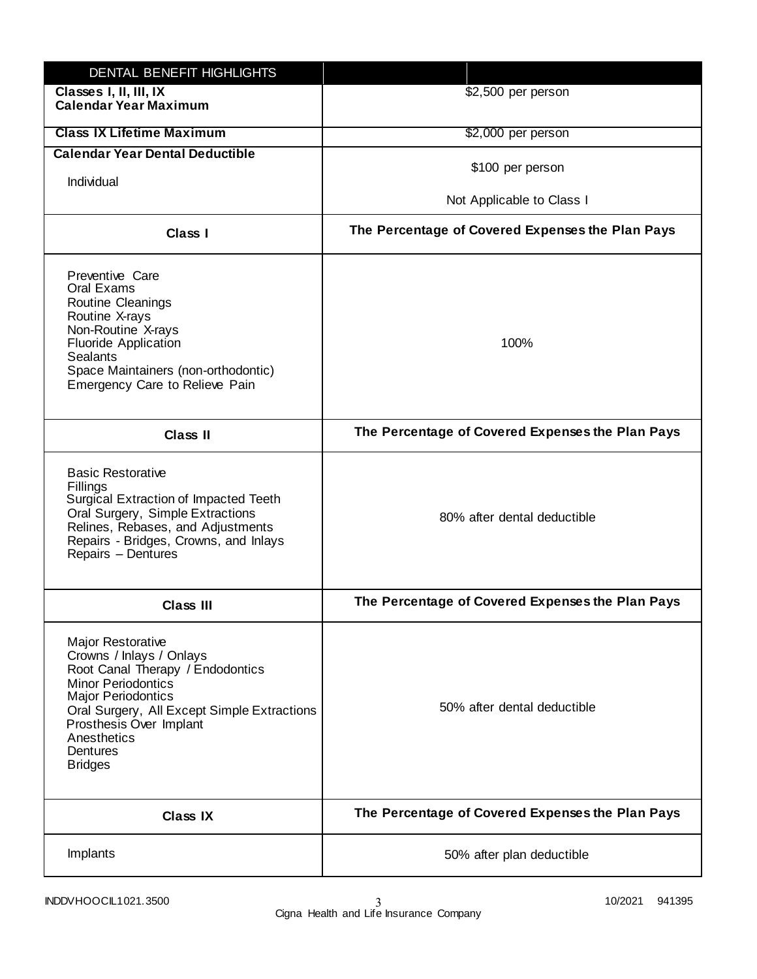| DENTAL BENEFIT HIGHLIGHTS                                                                                                                                                                                                                                                 |                                                  |
|---------------------------------------------------------------------------------------------------------------------------------------------------------------------------------------------------------------------------------------------------------------------------|--------------------------------------------------|
| Classes I, II, III, IX<br><b>Calendar Year Maximum</b>                                                                                                                                                                                                                    | \$2,500 per person                               |
| <b>Class IX Lifetime Maximum</b>                                                                                                                                                                                                                                          | \$2,000 per person                               |
| <b>Calendar Year Dental Deductible</b>                                                                                                                                                                                                                                    |                                                  |
| Individual                                                                                                                                                                                                                                                                | \$100 per person                                 |
|                                                                                                                                                                                                                                                                           | Not Applicable to Class I                        |
| Class I                                                                                                                                                                                                                                                                   | The Percentage of Covered Expenses the Plan Pays |
| Preventive Care<br>Oral Exams<br><b>Routine Cleanings</b><br>Routine X-rays<br>Non-Routine X-rays<br><b>Fluoride Application</b><br><b>Sealants</b><br>Space Maintainers (non-orthodontic)<br>Emergency Care to Relieve Pain                                              | 100%                                             |
| <b>Class II</b>                                                                                                                                                                                                                                                           | The Percentage of Covered Expenses the Plan Pays |
| <b>Basic Restorative</b><br>Fillings<br>Surgical Extraction of Impacted Teeth<br>Oral Surgery, Simple Extractions<br>Relines, Rebases, and Adjustments<br>Repairs - Bridges, Crowns, and Inlays<br>Repairs - Dentures                                                     | 80% after dental deductible                      |
| <b>Class III</b>                                                                                                                                                                                                                                                          | The Percentage of Covered Expenses the Plan Pays |
| <b>Major Restorative</b><br>Crowns / Inlays / Onlays<br>Root Canal Therapy / Endodontics<br><b>Minor Periodontics</b><br><b>Major Periodontics</b><br>Oral Surgery, All Except Simple Extractions<br>Prosthesis Over Implant<br>Anesthetics<br>Dentures<br><b>Bridges</b> | 50% after dental deductible                      |
| <b>Class IX</b>                                                                                                                                                                                                                                                           | The Percentage of Covered Expenses the Plan Pays |
| Implants                                                                                                                                                                                                                                                                  | 50% after plan deductible                        |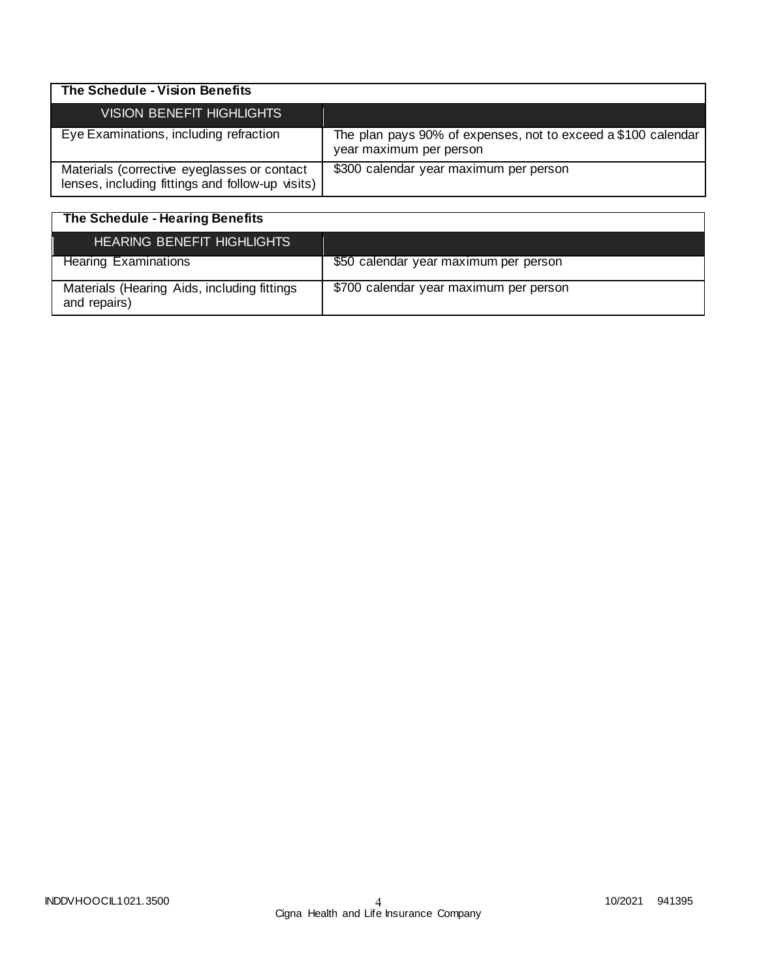| The Schedule - Vision Benefits                                                                  |                                                                                          |
|-------------------------------------------------------------------------------------------------|------------------------------------------------------------------------------------------|
| <b>VISION BENEFIT HIGHLIGHTS</b>                                                                |                                                                                          |
| Eye Examinations, including refraction                                                          | The plan pays 90% of expenses, not to exceed a \$100 calendar<br>year maximum per person |
| Materials (corrective eyeglasses or contact<br>lenses, including fittings and follow-up visits) | \$300 calendar year maximum per person                                                   |

| <b>The Schedule - Hearing Benefits</b>                      |                                        |
|-------------------------------------------------------------|----------------------------------------|
| <b>HEARING BENEFIT HIGHLIGHTS</b>                           |                                        |
| <b>Hearing Examinations</b>                                 | \$50 calendar year maximum per person  |
| Materials (Hearing Aids, including fittings<br>and repairs) | \$700 calendar year maximum per person |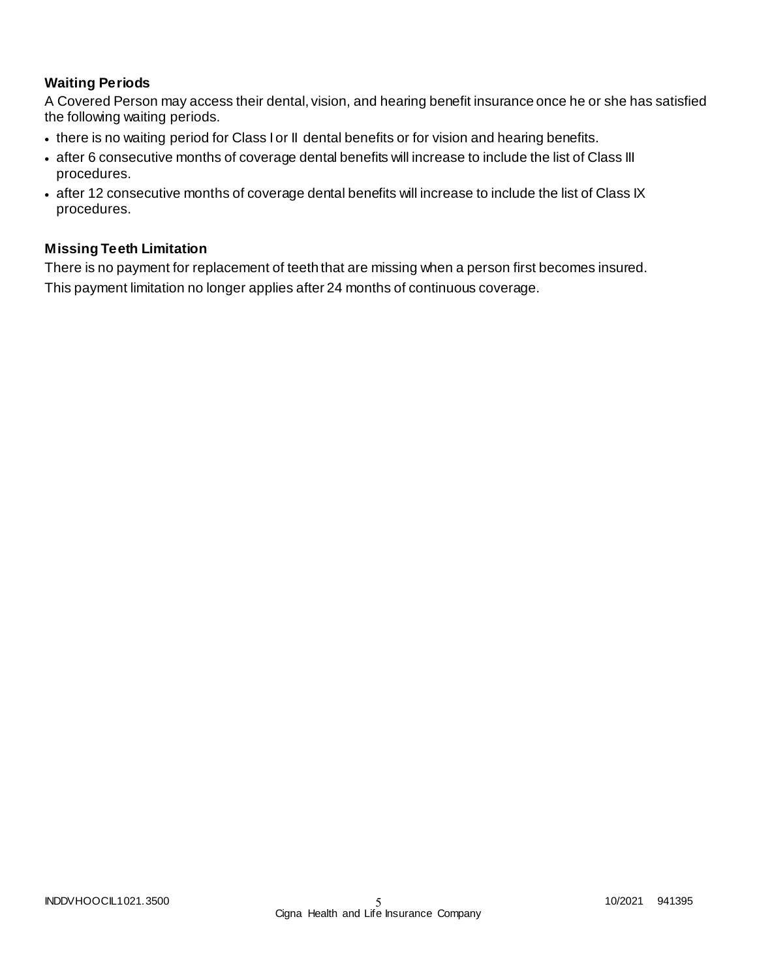## **Waiting Periods**

A Covered Person may access their dental, vision, and hearing benefit insurance once he or she has satisfied the following waiting periods.

- there is no waiting period for Class I or II dental benefits or for vision and hearing benefits.
- after 6 consecutive months of coverage dental benefits will increase to include the list of Class III procedures.
- after 12 consecutive months of coverage dental benefits will increase to include the list of Class IX procedures.

## **Missing Teeth Limitation**

There is no payment for replacement of teeth that are missing when a person first becomes insured. This payment limitation no longer applies after 24 months of continuous coverage.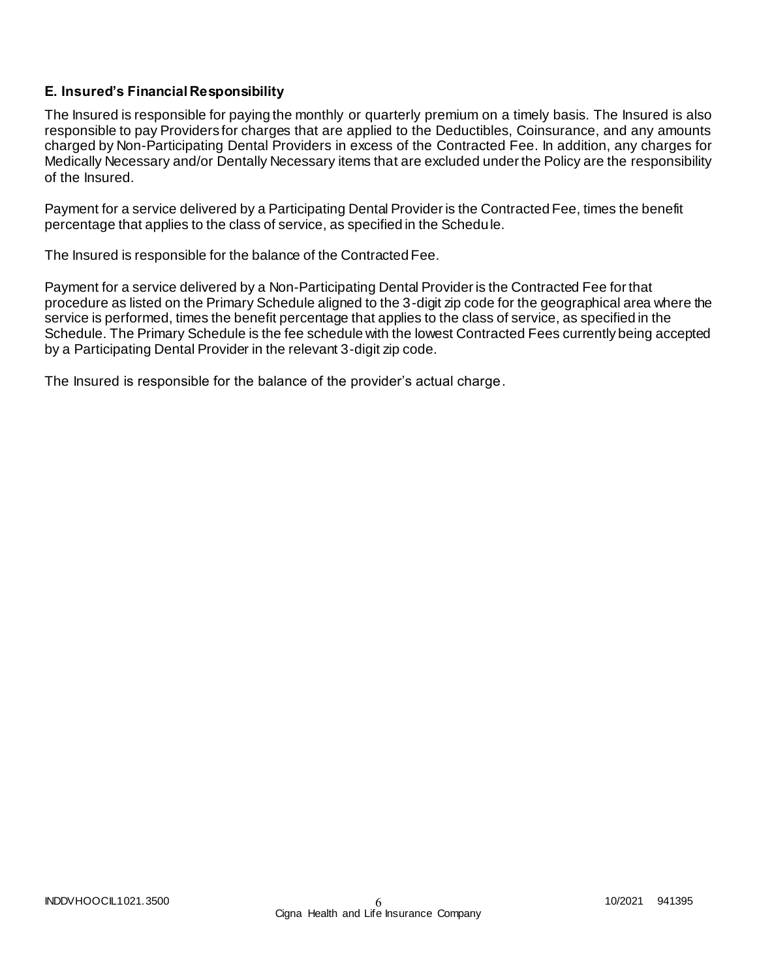## **E. Insured's Financial Responsibility**

The Insured is responsible for paying the monthly or quarterly premium on a timely basis. The Insured is also responsible to pay Providers for charges that are applied to the Deductibles, Coinsurance, and any amounts charged by Non-Participating Dental Providers in excess of the Contracted Fee. In addition, any charges for Medically Necessary and/or Dentally Necessary items that are excluded under the Policy are the responsibility of the Insured.

Payment for a service delivered by a Participating Dental Provider is the Contracted Fee, times the benefit percentage that applies to the class of service, as specified in the Schedule.

The Insured is responsible for the balance of the Contracted Fee.

Payment for a service delivered by a Non-Participating Dental Provider is the Contracted Fee for that procedure as listed on the Primary Schedule aligned to the 3-digit zip code for the geographical area where the service is performed, times the benefit percentage that applies to the class of service, as specified in the Schedule. The Primary Schedule is the fee schedule with the lowest Contracted Fees currently being accepted by a Participating Dental Provider in the relevant 3-digit zip code.

The Insured is responsible for the balance of the provider's actual charge.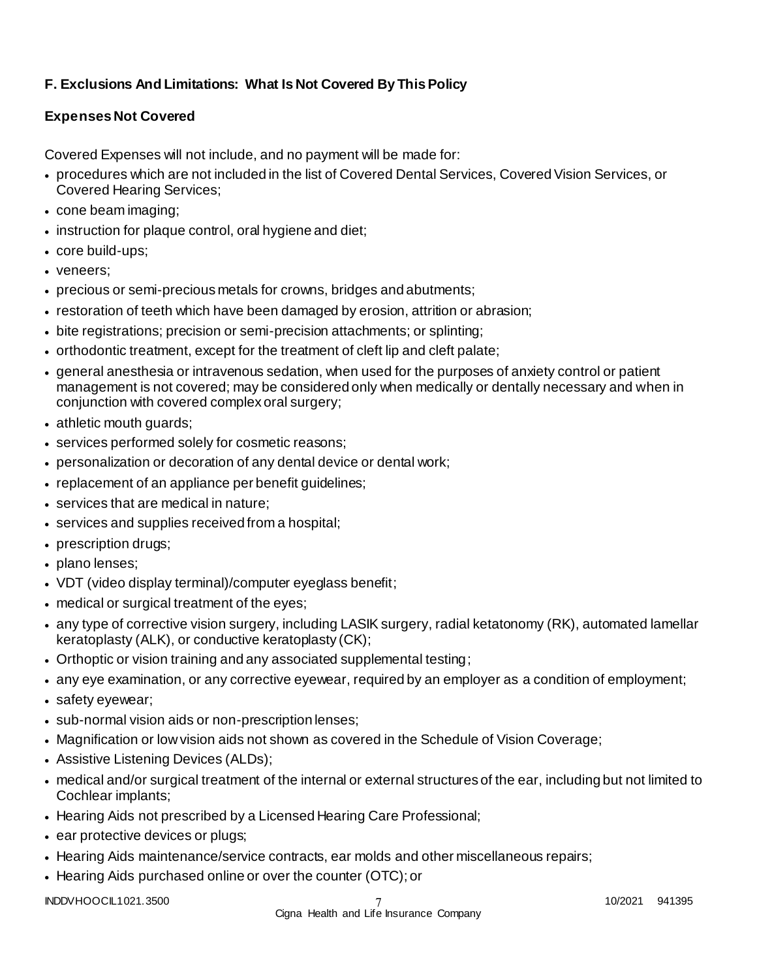# **F. Exclusions And Limitations: What Is Not Covered By This Policy**

## **Expenses Not Covered**

Covered Expenses will not include, and no payment will be made for:

- procedures which are not included in the list of Covered Dental Services, Covered Vision Services, or Covered Hearing Services;
- cone beam imaging;
- instruction for plaque control, oral hygiene and diet;
- core build-ups;
- veneers:
- precious or semi-precious metals for crowns, bridges and abutments;
- restoration of teeth which have been damaged by erosion, attrition or abrasion;
- bite registrations; precision or semi-precision attachments; or splinting;
- orthodontic treatment, except for the treatment of cleft lip and cleft palate;
- general anesthesia or intravenous sedation, when used for the purposes of anxiety control or patient management is not covered; may be considered only when medically or dentally necessary and when in conjunction with covered complex oral surgery;
- athletic mouth guards;
- services performed solely for cosmetic reasons;
- personalization or decoration of any dental device or dental work;
- replacement of an appliance per benefit guidelines;
- services that are medical in nature;
- services and supplies received from a hospital;
- prescription drugs;
- plano lenses;
- VDT (video display terminal)/computer eyeglass benefit;
- medical or surgical treatment of the eyes;
- any type of corrective vision surgery, including LASIK surgery, radial ketatonomy (RK), automated lamellar keratoplasty (ALK), or conductive keratoplasty (CK);
- Orthoptic or vision training and any associated supplemental testing;
- any eye examination, or any corrective eyewear, required by an employer as a condition of employment;
- safety eyewear;
- sub-normal vision aids or non-prescription lenses;
- Magnification or low vision aids not shown as covered in the Schedule of Vision Coverage;
- Assistive Listening Devices (ALDs);
- medical and/or surgical treatment of the internal or external structures of the ear, including but not limited to Cochlear implants;
- Hearing Aids not prescribed by a Licensed Hearing Care Professional;
- ear protective devices or plugs;
- Hearing Aids maintenance/service contracts, ear molds and other miscellaneous repairs;
- Hearing Aids purchased online or over the counter (OTC); or

INDDVHOOCIL1021.3500 10/2021 941395

## 7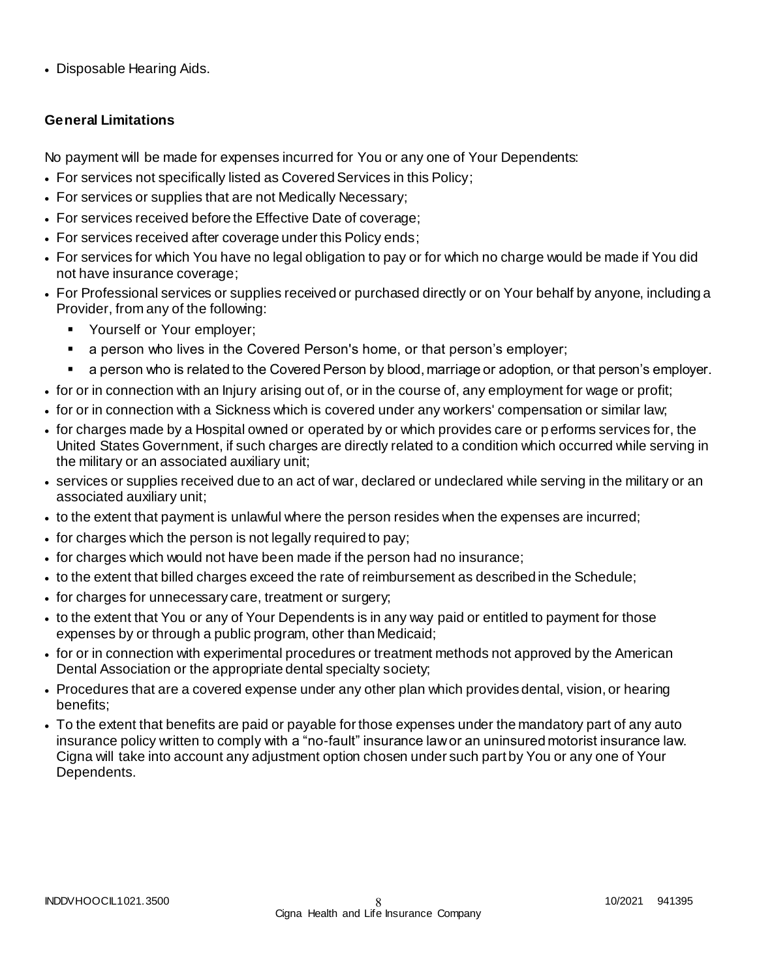• Disposable Hearing Aids.

## **General Limitations**

No payment will be made for expenses incurred for You or any one of Your Dependents:

- For services not specifically listed as Covered Services in this Policy;
- For services or supplies that are not Medically Necessary;
- For services received before the Effective Date of coverage;
- For services received after coverage under this Policy ends;
- For services for which You have no legal obligation to pay or for which no charge would be made if You did not have insurance coverage;
- For Professional services or supplies received or purchased directly or on Your behalf by anyone, including a Provider, from any of the following:
	- Yourself or Your employer;
	- a person who lives in the Covered Person's home, or that person's employer;
	- a person who is related to the Covered Person by blood, marriage or adoption, or that person's employer.
- for or in connection with an Injury arising out of, or in the course of, any employment for wage or profit;
- for or in connection with a Sickness which is covered under any workers' compensation or similar law;
- for charges made by a Hospital owned or operated by or which provides care or performs services for, the United States Government, if such charges are directly related to a condition which occurred while serving in the military or an associated auxiliary unit;
- services or supplies received due to an act of war, declared or undeclared while serving in the military or an associated auxiliary unit;
- to the extent that payment is unlawful where the person resides when the expenses are incurred;
- for charges which the person is not legally required to pay;
- for charges which would not have been made if the person had no insurance;
- to the extent that billed charges exceed the rate of reimbursement as described in the Schedule;
- for charges for unnecessary care, treatment or surgery;
- to the extent that You or any of Your Dependents is in any way paid or entitled to payment for those expenses by or through a public program, other than Medicaid;
- for or in connection with experimental procedures or treatment methods not approved by the American Dental Association or the appropriate dental specialty society;
- Procedures that are a covered expense under any other plan which provides dental, vision, or hearing benefits;
- To the extent that benefits are paid or payable for those expenses under the mandatory part of any auto insurance policy written to comply with a "no-fault" insurance law or an uninsured motorist insurance law. Cigna will take into account any adjustment option chosen under such part by You or any one of Your Dependents.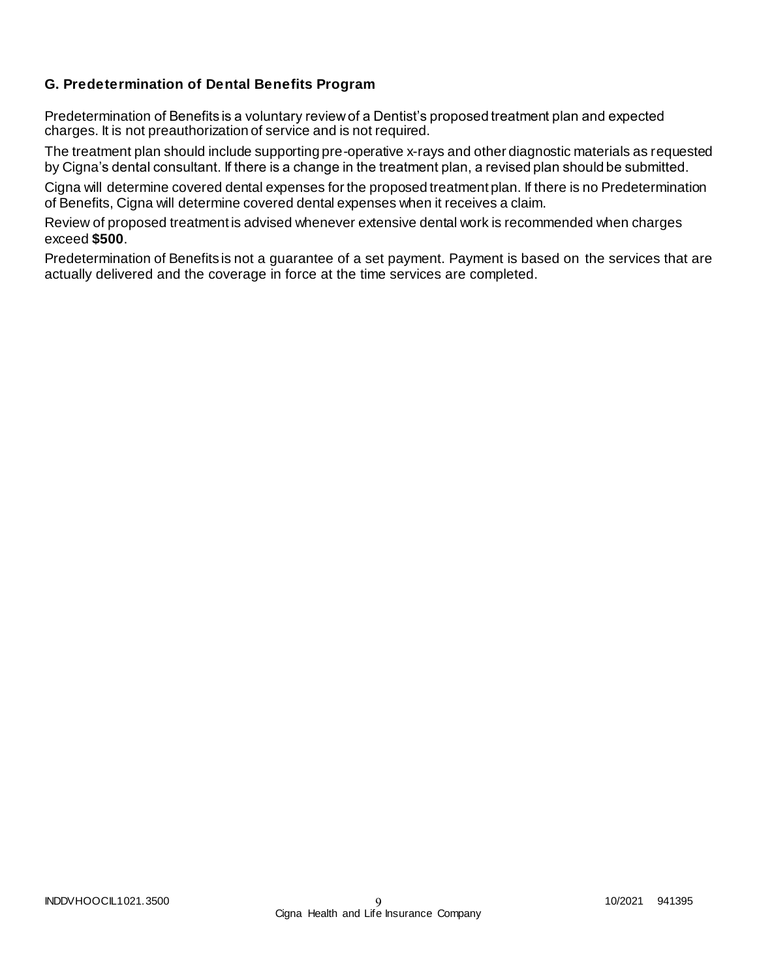## **G. Predetermination of Dental Benefits Program**

Predetermination of Benefits is a voluntary review of a Dentist's proposed treatment plan and expected charges. It is not preauthorization of service and is not required.

The treatment plan should include supporting pre-operative x-rays and other diagnostic materials as requested by Cigna's dental consultant. If there is a change in the treatment plan, a revised plan should be submitted.

Cigna will determine covered dental expenses for the proposed treatment plan. If there is no Predetermination of Benefits, Cigna will determine covered dental expenses when it receives a claim.

Review of proposed treatment is advised whenever extensive dental work is recommended when charges exceed **\$500**.

Predetermination of Benefits is not a guarantee of a set payment. Payment is based on the services that are actually delivered and the coverage in force at the time services are completed.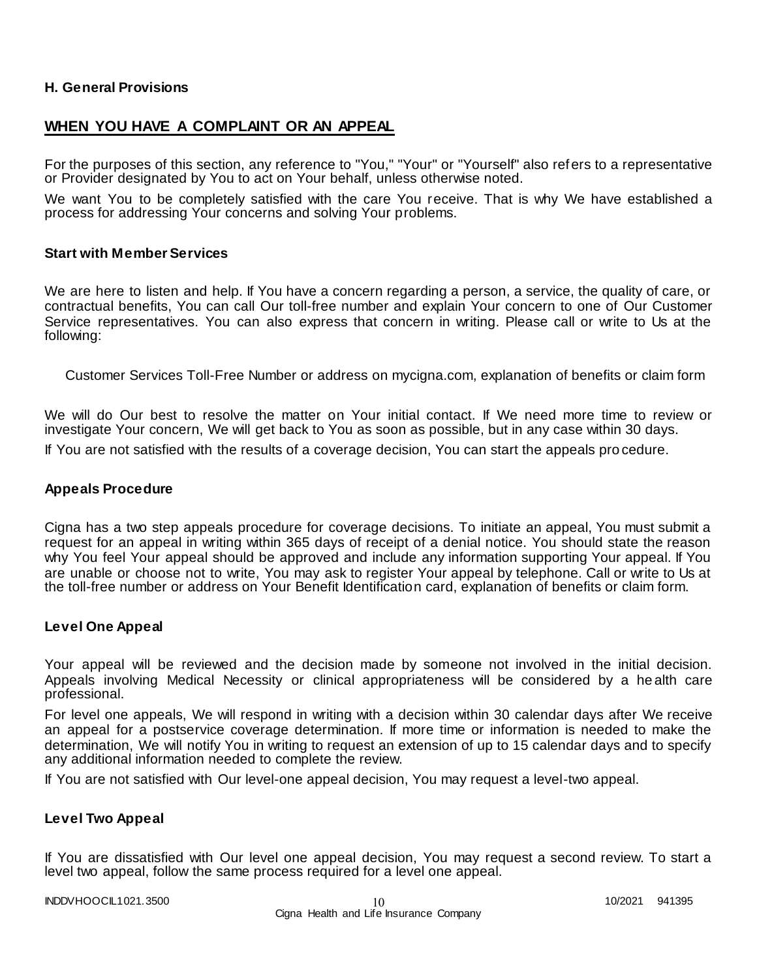#### **H. General Provisions**

## **WHEN YOU HAVE A COMPLAINT OR AN APPEAL**

For the purposes of this section, any reference to "You," "Your" or "Yourself" also refers to a representative or Provider designated by You to act on Your behalf, unless otherwise noted.

We want You to be completely satisfied with the care You receive. That is why We have established a process for addressing Your concerns and solving Your problems.

#### **Start with Member Services**

We are here to listen and help. If You have a concern regarding a person, a service, the quality of care, or contractual benefits, You can call Our toll-free number and explain Your concern to one of Our Customer Service representatives. You can also express that concern in writing. Please call or write to Us at the following:

Customer Services Toll-Free Number or address on mycigna.com, explanation of benefits or claim form

We will do Our best to resolve the matter on Your initial contact. If We need more time to review or investigate Your concern, We will get back to You as soon as possible, but in any case within 30 days. If You are not satisfied with the results of a coverage decision, You can start the appeals pro cedure.

#### **Appeals Procedure**

Cigna has a two step appeals procedure for coverage decisions. To initiate an appeal, You must submit a request for an appeal in writing within 365 days of receipt of a denial notice. You should state the reason why You feel Your appeal should be approved and include any information supporting Your appeal. If You are unable or choose not to write, You may ask to register Your appeal by telephone. Call or write to Us at the toll-free number or address on Your Benefit Identification card, explanation of benefits or claim form.

#### **Level One Appeal**

Your appeal will be reviewed and the decision made by someone not involved in the initial decision. Appeals involving Medical Necessity or clinical appropriateness will be considered by a he alth care professional.

For level one appeals, We will respond in writing with a decision within 30 calendar days after We receive an appeal for a postservice coverage determination. If more time or information is needed to make the determination, We will notify You in writing to request an extension of up to 15 calendar days and to specify any additional information needed to complete the review.

If You are not satisfied with Our level-one appeal decision, You may request a level-two appeal.

#### **Level Two Appeal**

If You are dissatisfied with Our level one appeal decision, You may request a second review. To start a level two appeal, follow the same process required for a level one appeal.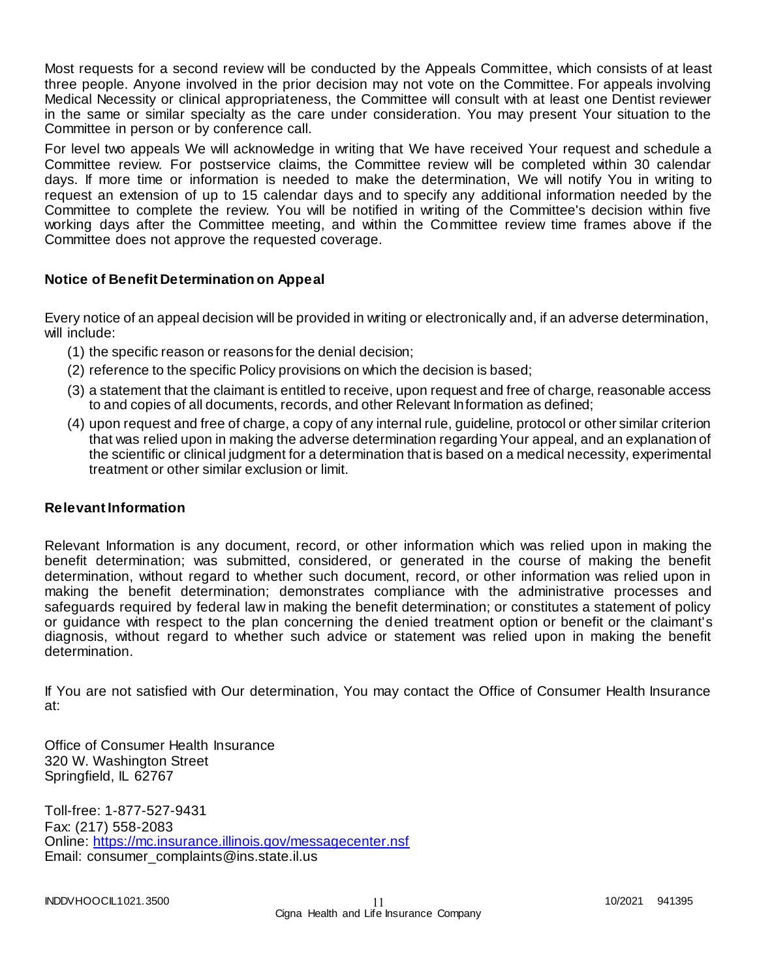Most requests for a second review will be conducted by the Appeals Committee, which consists of at least three people. Anyone involved in the prior decision may not vote on the Committee. For appeals involving Medical Necessity or clinical appropriateness, the Committee will consult with at least one Dentist reviewer in the same or similar specialty as the care under consideration. You may present Your situation to the Committee in person or by conference call.

For level two appeals We will acknowledge in writing that We have received Your request and schedule a Committee review. For postservice claims, the Committee review will be completed within 30 calendar days. If more time or information is needed to make the determination, We will notify You in writing to request an extension of up to 15 calendar days and to specify any additional information needed by the Committee to complete the review. You will be notified in writing of the Committee's decision within five working days after the Committee meeting, and within the Committee review time frames above if the Committee does not approve the requested coverage.

## **Notice of Benefit Determination on Appeal**

Every notice of an appeal decision will be provided in writing or electronically and, if an adverse determination, will include:

- (1) the specific reason or reasons for the denial decision;
- (2) reference to the specific Policy provisions on which the decision is based;
- (3) a statement that the claimant is entitled to receive, upon request and free of charge, reasonable access to and copies of all documents, records, and other Relevant Information as defined;
- (4) upon request and free of charge, a copy of any internal rule, guideline, protocol or other similar criterion that was relied upon in making the adverse determination regarding Your appeal, and an explanation of the scientific or clinical judgment for a determination that is based on a medical necessity, experimental treatment or other similar exclusion or limit.

## **Relevant Information**

Relevant Information is any document, record, or other information which was relied upon in making the benefit determination; was submitted, considered, or generated in the course of making the benefit determination, without regard to whether such document, record, or other information was relied upon in making the benefit determination; demonstrates compliance with the administrative processes and safeguards required by federal law in making the benefit determination; or constitutes a statement of policy or guidance with respect to the plan concerning the denied treatment option or benefit or the claimant's diagnosis, without regard to whether such advice or statement was relied upon in making the benefit determination.

If You are not satisfied with Our determination, You may contact the Office of Consumer Health Insurance at:

Office of Consumer Health Insurance 320 W. Washington Street Springfield, IL 62767

Toll-free: 1-877-527-9431 Fax: (217) 558-2083 Online:<https://mc.insurance.illinois.gov/messagecenter.nsf> Email: consumer\_complaints@ins.state.il.us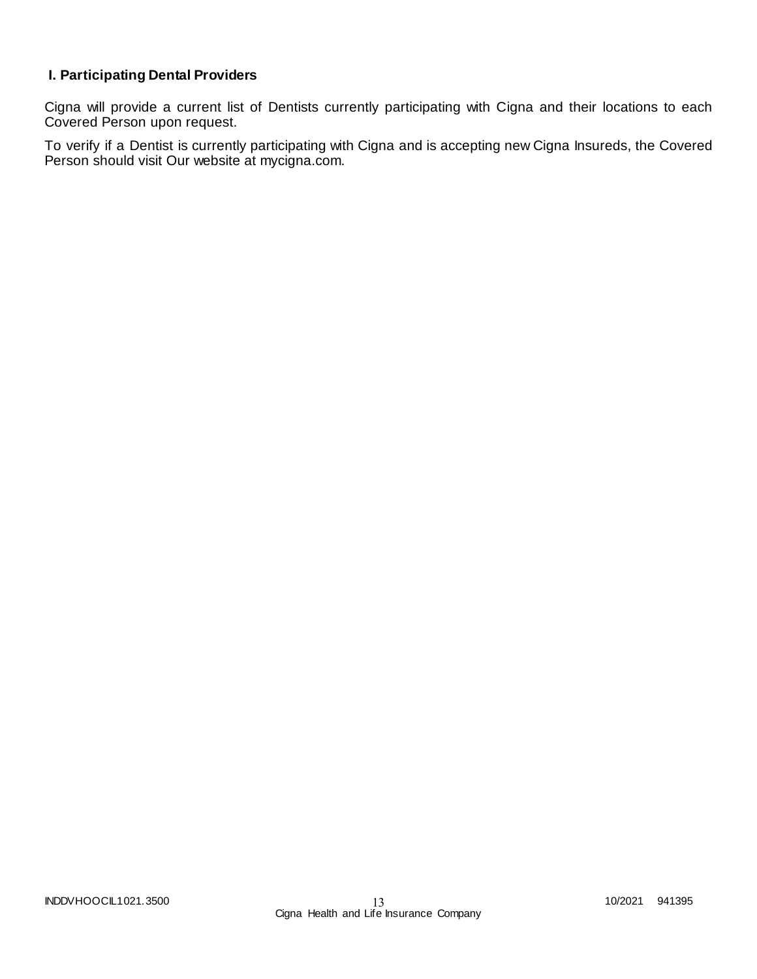## **I. Participating Dental Providers**

Cigna will provide a current list of Dentists currently participating with Cigna and their locations to each Covered Person upon request.

To verify if a Dentist is currently participating with Cigna and is accepting new Cigna Insureds, the Covered Person should visit Our website at mycigna.com.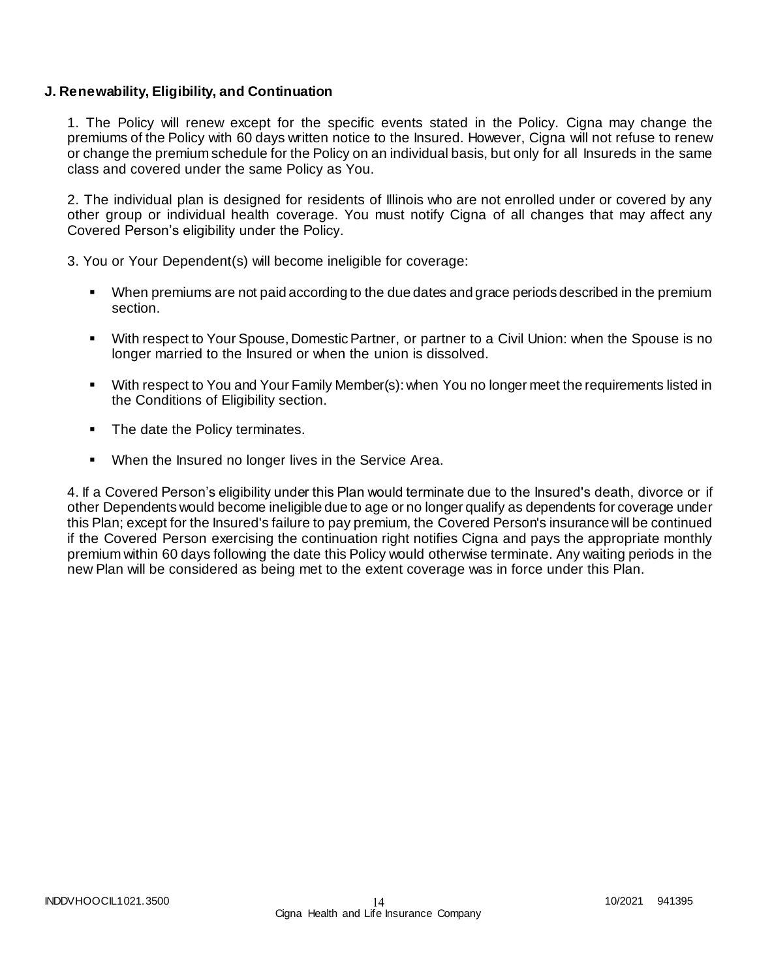#### **J. Renewability, Eligibility, and Continuation**

1. The Policy will renew except for the specific events stated in the Policy. Cigna may change the premiums of the Policy with 60 days written notice to the Insured. However, Cigna will not refuse to renew or change the premium schedule for the Policy on an individual basis, but only for all Insureds in the same class and covered under the same Policy as You.

2. The individual plan is designed for residents of Illinois who are not enrolled under or covered by any other group or individual health coverage. You must notify Cigna of all changes that may affect any Covered Person's eligibility under the Policy.

3. You or Your Dependent(s) will become ineligible for coverage:

- When premiums are not paid according to the due dates and grace periods described in the premium section.
- With respect to Your Spouse, Domestic Partner, or partner to a Civil Union: when the Spouse is no longer married to the Insured or when the union is dissolved.
- With respect to You and Your Family Member(s): when You no longer meet the requirements listed in the Conditions of Eligibility section.
- The date the Policy terminates.
- When the Insured no longer lives in the Service Area.

4. If a Covered Person's eligibility under this Plan would terminate due to the Insured's death, divorce or if other Dependents would become ineligible due to age or no longer qualify as dependents for coverage under this Plan; except for the Insured's failure to pay premium, the Covered Person's insurance will be continued if the Covered Person exercising the continuation right notifies Cigna and pays the appropriate monthly premium within 60 days following the date this Policy would otherwise terminate. Any waiting periods in the new Plan will be considered as being met to the extent coverage was in force under this Plan.